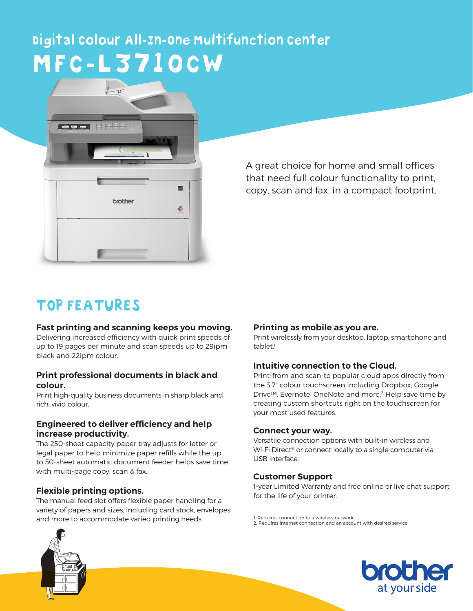# Digital Colour All-In-One Multifunction Center MFC-L3710CW



A great choice for home and small offices that need full colour functionality to print, copy, scan and fax, in a compact footprint.

# TOP FEATURES

#### **Fast printing and scanning keeps you moving.**

Delivering increased efficiency with quick print speeds of up to 19 pages per minute and scan speeds up to 29ipm black and 22ipm colour.

#### **Print professional documents in black and colour.**

Print high-quality business documents in sharp black and rich, vivid colour.

#### **Engineered to deliver efficiency and help increase productivity.**

The 250-sheet capacity paper tray adjusts for letter or legal paper to help minimize paper refills while the up to 50-sheet automatic document feeder helps save time with multi-page copy, scan & fax.

#### **Flexible printing options.**

The manual feed slot offers flexible paper handling for a variety of papers and sizes, including card stock, envelopes and more to accommodate varied printing needs.

#### **Printing as mobile as you are.**

Print wirelessly from your desktop, laptop, smartphone and tablet.<sup>1</sup>

#### **Intuitive connection to the Cloud.**

Print-from and scan-to popular cloud apps directly from the 3.7" colour touchscreen including Dropbox, Google Drive™, Evernote, OneNote and more.<sup>2</sup> Help save time by creating custom shortcuts right on the touchscreen for your most used features.

#### **Connect your way.**

Versatile connection options with built-in wireless and Wi-Fi Direct® or connect locally to a single computer via USB interface.

#### **Customer Support**

1-year Limited Warranty and free online or live chat support for the life of your printer.

1. Requires connection to a wireless network. 2. Requires internet connection and an account with desired service.